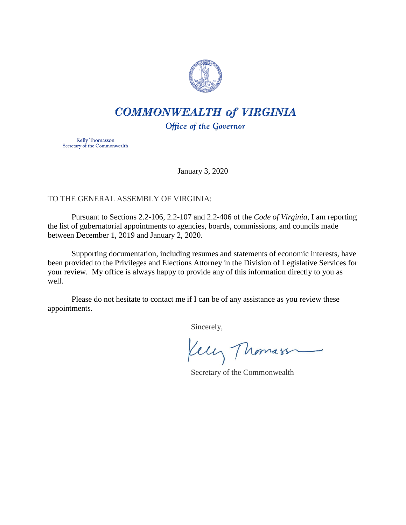

# **COMMONWEALTH of VIRGINIA**

Office of the Governor

Kelly Thomasson Secretary of the Commonwealth

January 3, 2020

## TO THE GENERAL ASSEMBLY OF VIRGINIA:

Pursuant to Sections 2.2-106, 2.2-107 and 2.2-406 of the *Code of Virginia*, I am reporting the list of gubernatorial appointments to agencies, boards, commissions, and councils made between December 1, 2019 and January 2, 2020.

Supporting documentation, including resumes and statements of economic interests, have been provided to the Privileges and Elections Attorney in the Division of Legislative Services for your review. My office is always happy to provide any of this information directly to you as well.

Please do not hesitate to contact me if I can be of any assistance as you review these appointments.

Sincerely,

Kelly Thomass

Secretary of the Commonwealth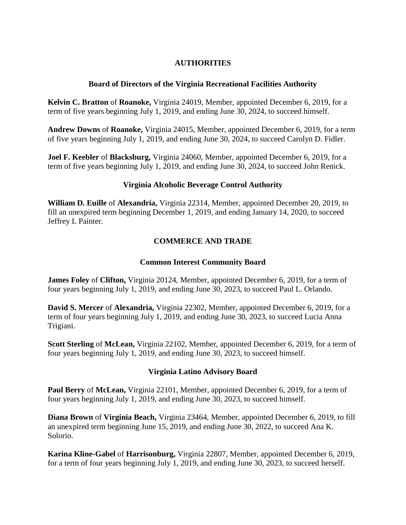## **AUTHORITIES**

#### **Board of Directors of the Virginia Recreational Facilities Authority**

**Kelvin C. Bratton** of **Roanoke,** Virginia 24019, Member, appointed December 6, 2019, for a term of five years beginning July 1, 2019, and ending June 30, 2024, to succeed himself.

**Andrew Downs** of **Roanoke,** Virginia 24015, Member, appointed December 6, 2019, for a term of five years beginning July 1, 2019, and ending June 30, 2024, to succeed Carolyn D. Fidler.

**Joel F. Keebler** of **Blacksburg,** Virginia 24060, Member, appointed December 6, 2019, for a term of five years beginning July 1, 2019, and ending June 30, 2024, to succeed John Renick.

#### **Virginia Alcoholic Beverage Control Authority**

**William D. Euille** of **Alexandria,** Virginia 22314, Member, appointed December 20, 2019, to fill an unexpired term beginning December 1, 2019, and ending January 14, 2020, to succeed Jeffrey L Painter.

#### **COMMERCE AND TRADE**

#### **Common Interest Community Board**

**James Foley** of **Clifton,** Virginia 20124, Member, appointed December 6, 2019, for a term of four years beginning July 1, 2019, and ending June 30, 2023, to succeed Paul L. Orlando.

**David S. Mercer** of **Alexandria,** Virginia 22302, Member, appointed December 6, 2019, for a term of four years beginning July 1, 2019, and ending June 30, 2023, to succeed Lucia Anna Trigiani.

**Scott Sterling** of **McLean,** Virginia 22102, Member, appointed December 6, 2019, for a term of four years beginning July 1, 2019, and ending June 30, 2023, to succeed himself.

#### **Virginia Latino Advisory Board**

**Paul Berry** of **McLean,** Virginia 22101, Member, appointed December 6, 2019, for a term of four years beginning July 1, 2019, and ending June 30, 2023, to succeed himself.

**Diana Brown** of **Virginia Beach,** Virginia 23464, Member, appointed December 6, 2019, to fill an unexpired term beginning June 15, 2019, and ending June 30, 2022, to succeed Ana K. Solorio.

**Karina Kline-Gabel** of **Harrisonburg,** Virginia 22807, Member, appointed December 6, 2019, for a term of four years beginning July 1, 2019, and ending June 30, 2023, to succeed herself.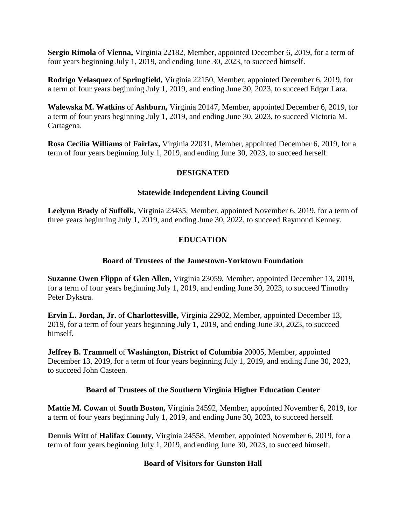**Sergio Rimola** of **Vienna,** Virginia 22182, Member, appointed December 6, 2019, for a term of four years beginning July 1, 2019, and ending June 30, 2023, to succeed himself.

**Rodrigo Velasquez** of **Springfield,** Virginia 22150, Member, appointed December 6, 2019, for a term of four years beginning July 1, 2019, and ending June 30, 2023, to succeed Edgar Lara.

**Walewska M. Watkins** of **Ashburn,** Virginia 20147, Member, appointed December 6, 2019, for a term of four years beginning July 1, 2019, and ending June 30, 2023, to succeed Victoria M. Cartagena.

**Rosa Cecilia Williams** of **Fairfax,** Virginia 22031, Member, appointed December 6, 2019, for a term of four years beginning July 1, 2019, and ending June 30, 2023, to succeed herself.

## **DESIGNATED**

#### **Statewide Independent Living Council**

**Leelynn Brady** of **Suffolk,** Virginia 23435, Member, appointed November 6, 2019, for a term of three years beginning July 1, 2019, and ending June 30, 2022, to succeed Raymond Kenney.

# **EDUCATION**

## **Board of Trustees of the Jamestown-Yorktown Foundation**

**Suzanne Owen Flippo** of **Glen Allen,** Virginia 23059, Member, appointed December 13, 2019, for a term of four years beginning July 1, 2019, and ending June 30, 2023, to succeed Timothy Peter Dykstra.

**Ervin L. Jordan, Jr.** of **Charlottesville,** Virginia 22902, Member, appointed December 13, 2019, for a term of four years beginning July 1, 2019, and ending June 30, 2023, to succeed himself.

**Jeffrey B. Trammell** of **Washington, District of Columbia** 20005, Member, appointed December 13, 2019, for a term of four years beginning July 1, 2019, and ending June 30, 2023, to succeed John Casteen.

## **Board of Trustees of the Southern Virginia Higher Education Center**

**Mattie M. Cowan** of **South Boston,** Virginia 24592, Member, appointed November 6, 2019, for a term of four years beginning July 1, 2019, and ending June 30, 2023, to succeed herself.

**Dennis Witt** of **Halifax County,** Virginia 24558, Member, appointed November 6, 2019, for a term of four years beginning July 1, 2019, and ending June 30, 2023, to succeed himself.

## **Board of Visitors for Gunston Hall**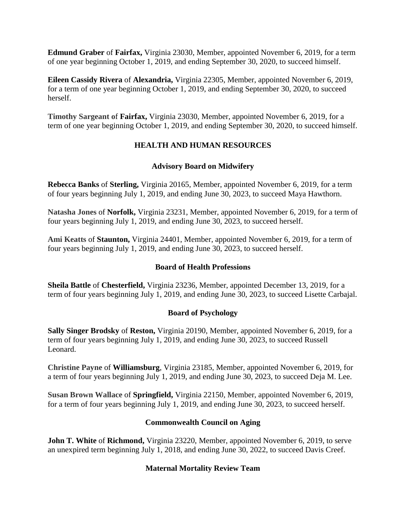**Edmund Graber** of **Fairfax,** Virginia 23030, Member, appointed November 6, 2019, for a term of one year beginning October 1, 2019, and ending September 30, 2020, to succeed himself.

**Eileen Cassidy Rivera** of **Alexandria,** Virginia 22305, Member, appointed November 6, 2019, for a term of one year beginning October 1, 2019, and ending September 30, 2020, to succeed herself.

**Timothy Sargeant o**f **Fairfax,** Virginia 23030, Member, appointed November 6, 2019, for a term of one year beginning October 1, 2019, and ending September 30, 2020, to succeed himself.

# **HEALTH AND HUMAN RESOURCES**

## **Advisory Board on Midwifery**

**Rebecca Banks** of **Sterling,** Virginia 20165, Member, appointed November 6, 2019, for a term of four years beginning July 1, 2019, and ending June 30, 2023, to succeed Maya Hawthorn.

**Natasha Jones** of **Norfolk,** Virginia 23231, Member, appointed November 6, 2019, for a term of four years beginning July 1, 2019, and ending June 30, 2023, to succeed herself.

**Ami Keatts** of **Staunton,** Virginia 24401, Member, appointed November 6, 2019, for a term of four years beginning July 1, 2019, and ending June 30, 2023, to succeed herself.

## **Board of Health Professions**

**Sheila Battle** of **Chesterfield,** Virginia 23236, Member, appointed December 13, 2019, for a term of four years beginning July 1, 2019, and ending June 30, 2023, to succeed Lisette Carbajal.

## **Board of Psychology**

**Sally Singer Brodsky** of **Reston,** Virginia 20190, Member, appointed November 6, 2019, for a term of four years beginning July 1, 2019, and ending June 30, 2023, to succeed Russell Leonard.

**Christine Payne** of **Williamsburg**, Virginia 23185, Member, appointed November 6, 2019, for a term of four years beginning July 1, 2019, and ending June 30, 2023, to succeed Deja M. Lee.

**Susan Brown Wallace** of **Springfield,** Virginia 22150, Member, appointed November 6, 2019, for a term of four years beginning July 1, 2019, and ending June 30, 2023, to succeed herself.

## **Commonwealth Council on Aging**

**John T. White of Richmond,** Virginia 23220, Member, appointed November 6, 2019, to serve an unexpired term beginning July 1, 2018, and ending June 30, 2022, to succeed Davis Creef.

## **Maternal Mortality Review Team**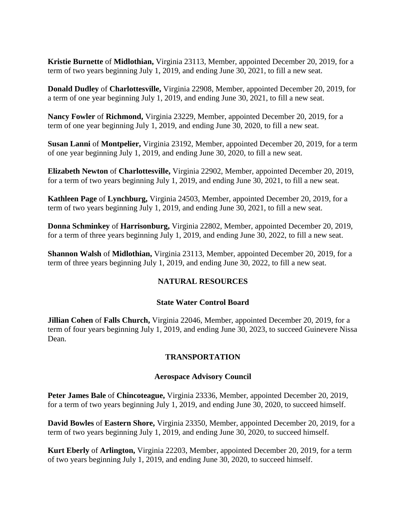**Kristie Burnette** of **Midlothian,** Virginia 23113, Member, appointed December 20, 2019, for a term of two years beginning July 1, 2019, and ending June 30, 2021, to fill a new seat.

**Donald Dudley** of **Charlottesville,** Virginia 22908, Member, appointed December 20, 2019, for a term of one year beginning July 1, 2019, and ending June 30, 2021, to fill a new seat.

**Nancy Fowler** of **Richmond,** Virginia 23229, Member, appointed December 20, 2019, for a term of one year beginning July 1, 2019, and ending June 30, 2020, to fill a new seat.

**Susan Lanni** of **Montpelier,** Virginia 23192, Member, appointed December 20, 2019, for a term of one year beginning July 1, 2019, and ending June 30, 2020, to fill a new seat.

**Elizabeth Newton** of **Charlottesville,** Virginia 22902, Member, appointed December 20, 2019, for a term of two years beginning July 1, 2019, and ending June 30, 2021, to fill a new seat.

**Kathleen Page** of **Lynchburg,** Virginia 24503, Member, appointed December 20, 2019, for a term of two years beginning July 1, 2019, and ending June 30, 2021, to fill a new seat.

**Donna Schminkey** of **Harrisonburg,** Virginia 22802, Member, appointed December 20, 2019, for a term of three years beginning July 1, 2019, and ending June 30, 2022, to fill a new seat.

**Shannon Walsh** of **Midlothian,** Virginia 23113, Member, appointed December 20, 2019, for a term of three years beginning July 1, 2019, and ending June 30, 2022, to fill a new seat.

## **NATURAL RESOURCES**

#### **State Water Control Board**

**Jillian Cohen** of **Falls Church,** Virginia 22046, Member, appointed December 20, 2019, for a term of four years beginning July 1, 2019, and ending June 30, 2023, to succeed Guinevere Nissa Dean.

## **TRANSPORTATION**

#### **Aerospace Advisory Council**

**Peter James Bale** of **Chincoteague,** Virginia 23336, Member, appointed December 20, 2019, for a term of two years beginning July 1, 2019, and ending June 30, 2020, to succeed himself.

**David Bowles** of **Eastern Shore,** Virginia 23350, Member, appointed December 20, 2019, for a term of two years beginning July 1, 2019, and ending June 30, 2020, to succeed himself.

**Kurt Eberly** of **Arlington,** Virginia 22203, Member, appointed December 20, 2019, for a term of two years beginning July 1, 2019, and ending June 30, 2020, to succeed himself.